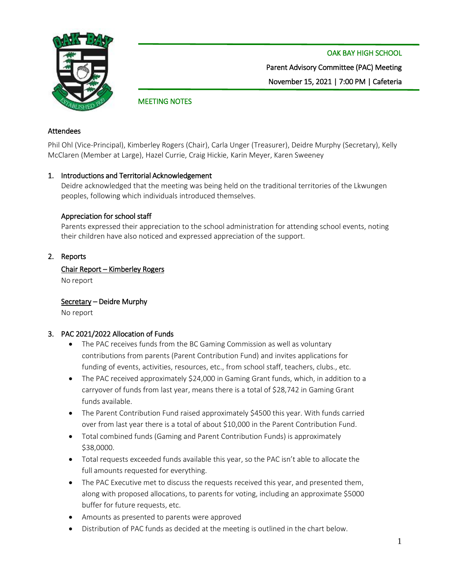

OAK BAY HIGH SCHOOL Parent Advisory Committee (PAC) Meeting November 15, 2021 | 7:00 PM | Cafeteria

# MEETING NOTES

### Attendees

Phil Ohl (Vice-Principal), Kimberley Rogers (Chair), Carla Unger (Treasurer), Deidre Murphy (Secretary), Kelly McClaren (Member at Large), Hazel Currie, Craig Hickie, Karin Meyer, Karen Sweeney

## 1. Introductions and Territorial Acknowledgement

Deidre acknowledged that the meeting was being held on the traditional territories of the Lkwungen peoples, following which individuals introduced themselves.

### Appreciation for school staff

Parents expressed their appreciation to the school administration for attending school events, noting their children have also noticed and expressed appreciation of the support.

### 2. Reports

# Chair Report – Kimberley Rogers

No report

Secretary – Deidre Murphy No report

## 3. PAC 2021/2022 Allocation of Funds

- The PAC receives funds from the BC Gaming Commission as well as voluntary contributions from parents (Parent Contribution Fund) and invites applications for funding of events, activities, resources, etc., from school staff, teachers, clubs., etc.
- The PAC received approximately \$24,000 in Gaming Grant funds, which, in addition to a carryover of funds from last year, means there is a total of \$28,742 in Gaming Grant funds available.
- The Parent Contribution Fund raised approximately \$4500 this year. With funds carried over from last year there is a total of about \$10,000 in the Parent Contribution Fund.
- Total combined funds (Gaming and Parent Contribution Funds) is approximately \$38,0000.
- Total requests exceeded funds available this year, so the PAC isn't able to allocate the full amounts requested for everything.
- The PAC Executive met to discuss the requests received this year, and presented them, along with proposed allocations, to parents for voting, including an approximate \$5000 buffer for future requests, etc.
- Amounts as presented to parents were approved
- Distribution of PAC funds as decided at the meeting is outlined in the chart below.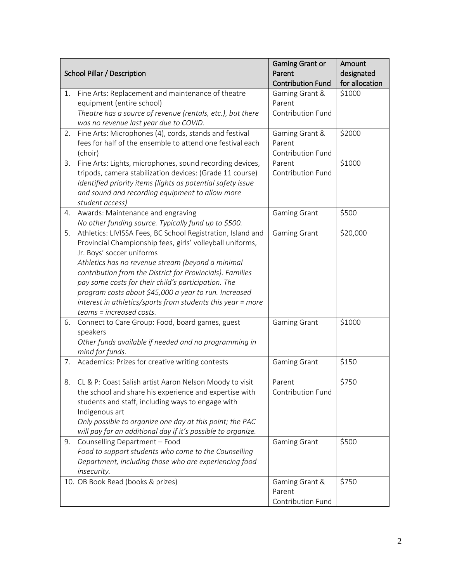| School Pillar / Description |                                                                                                                                                                                                                                                                                                                                                                                                                                                                                    | <b>Gaming Grant or</b><br>Parent<br><b>Contribution Fund</b> | Amount<br>designated<br>for allocation |
|-----------------------------|------------------------------------------------------------------------------------------------------------------------------------------------------------------------------------------------------------------------------------------------------------------------------------------------------------------------------------------------------------------------------------------------------------------------------------------------------------------------------------|--------------------------------------------------------------|----------------------------------------|
| 1.                          | Fine Arts: Replacement and maintenance of theatre<br>equipment (entire school)<br>Theatre has a source of revenue (rentals, etc.), but there<br>was no revenue last year due to COVID.                                                                                                                                                                                                                                                                                             | Gaming Grant &<br>Parent<br>Contribution Fund                | \$1000                                 |
| 2.                          | Fine Arts: Microphones (4), cords, stands and festival<br>fees for half of the ensemble to attend one festival each<br>(choir)                                                                                                                                                                                                                                                                                                                                                     | Gaming Grant &<br>Parent<br>Contribution Fund                | \$2000                                 |
| 3.                          | Fine Arts: Lights, microphones, sound recording devices,<br>tripods, camera stabilization devices: (Grade 11 course)<br>Identified priority items (lights as potential safety issue<br>and sound and recording equipment to allow more<br>student access)                                                                                                                                                                                                                          | Parent<br>Contribution Fund                                  | \$1000                                 |
| 4.                          | Awards: Maintenance and engraving<br>No other funding source. Typically fund up to \$500.                                                                                                                                                                                                                                                                                                                                                                                          | <b>Gaming Grant</b>                                          | \$500                                  |
| 5.                          | Athletics: LIVISSA Fees, BC School Registration, Island and<br>Provincial Championship fees, girls' volleyball uniforms,<br>Jr. Boys' soccer uniforms<br>Athletics has no revenue stream (beyond a minimal<br>contribution from the District for Provincials). Families<br>pay some costs for their child's participation. The<br>program costs about \$45,000 a year to run. Increased<br>interest in athletics/sports from students this year = more<br>teams = increased costs. | Gaming Grant                                                 | \$20,000                               |
| 6.                          | Connect to Care Group: Food, board games, guest<br>speakers<br>Other funds available if needed and no programming in<br>mind for funds.                                                                                                                                                                                                                                                                                                                                            | <b>Gaming Grant</b>                                          | \$1000                                 |
| 7.                          | Academics: Prizes for creative writing contests                                                                                                                                                                                                                                                                                                                                                                                                                                    | <b>Gaming Grant</b>                                          | \$150                                  |
| 8.                          | CL & P: Coast Salish artist Aaron Nelson Moody to visit<br>the school and share his experience and expertise with<br>students and staff, including ways to engage with<br>Indigenous art<br>Only possible to organize one day at this point; the PAC<br>will pay for an additional day if it's possible to organize.                                                                                                                                                               | Parent<br>Contribution Fund                                  | \$750                                  |
| 9.                          | Counselling Department - Food<br>Food to support students who come to the Counselling<br>Department, including those who are experiencing food<br>insecurity.                                                                                                                                                                                                                                                                                                                      | <b>Gaming Grant</b>                                          | \$500                                  |
|                             | 10. OB Book Read (books & prizes)                                                                                                                                                                                                                                                                                                                                                                                                                                                  | Gaming Grant &<br>Parent<br>Contribution Fund                | \$750                                  |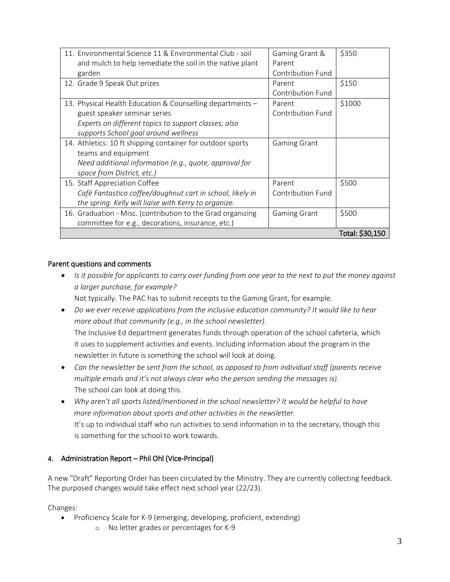| 11. Environmental Science 11 & Environmental Club - soil<br>and mulch to help remediate the soil in the native plant<br>garden                                                            | Gaming Grant &<br>Parent<br>Contribution Fund | \$350           |
|-------------------------------------------------------------------------------------------------------------------------------------------------------------------------------------------|-----------------------------------------------|-----------------|
| 12. Grade 9 Speak Out prizes                                                                                                                                                              | Parent<br>Contribution Fund                   | \$150           |
| 13. Physical Health Education & Counselling departments -<br>guest speaker seminar series<br>Experts on different topics to support classes; also<br>supports School goal around wellness | Parent<br><b>Contribution Fund</b>            | \$1000          |
| 14. Athletics: 10 ft shipping container for outdoor sports<br>teams and equipment<br>Need additional information (e.g., quote, approval for<br>space from District, etc.)                 | <b>Gaming Grant</b>                           |                 |
| 15. Staff Appreciation Coffee<br>Café Fantastico coffee/doughnut cart in school, likely in<br>the spring. Kelly will liaise with Kerry to organize.                                       | Parent<br>Contribution Fund                   | \$500           |
| 16. Graduation - Misc. (contribution to the Grad organizing<br>committee for e.g., decorations, insurance, etc.)                                                                          | <b>Gaming Grant</b>                           | \$500           |
|                                                                                                                                                                                           |                                               | Total: \$30,150 |

# Parent questions and comments

• *Is it possible for applicants to carry over funding from one year to the next to put the money against a larger purchase, for example?*

Not typically. The PAC has to submit receipts to the Gaming Grant, for example.

- *Do we ever receive applications from the inclusive education community? It would like to hear more about that community (e.g., in the school newsletter).* The Inclusive Ed department generates funds through operation of the school cafeteria, which it uses to supplement activities and events. Including information about the program in the newsletter in future is something the school will look at doing.
- *Can the newsletter be sent from the school, as opposed to from individual staff (parents receive multiple emails and it's not always clear who the person sending the messages is).* The school can look at doing this.
- *Why aren't all sports listed/mentioned in the school newsletter? It would be helpful to have more information about sports and other activities in the newsletter.*  It's up to individual staff who run activities to send information in to the secretary, though this is something for the school to work towards.

# 4. Administration Report – Phil Ohl (Vice-Principal)

A new "Draft" Reporting Order has been circulated by the Ministry. They are currently collecting feedback. The purposed changes would take effect next school year (22/23).

Changes:

- Proficiency Scale for K-9 (emerging, developing, proficient, extending)
	- o No letter grades or percentages for K-9